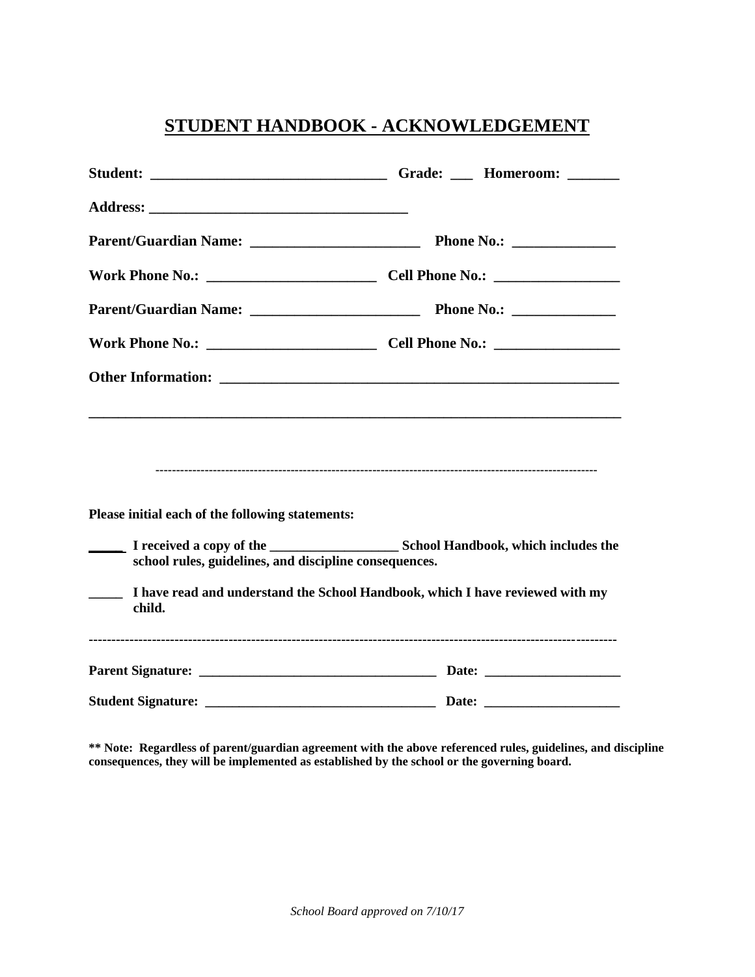# **STUDENT HANDBOOK - ACKNOWLEDGEMENT**

| Please initial each of the following statements:<br>school rules, guidelines, and discipline consequences.<br>I have read and understand the School Handbook, which I have reviewed with my<br>child. |  |
|-------------------------------------------------------------------------------------------------------------------------------------------------------------------------------------------------------|--|
|                                                                                                                                                                                                       |  |
|                                                                                                                                                                                                       |  |

**\*\* Note: Regardless of parent/guardian agreement with the above referenced rules, guidelines, and discipline consequences, they will be implemented as established by the school or the governing board.**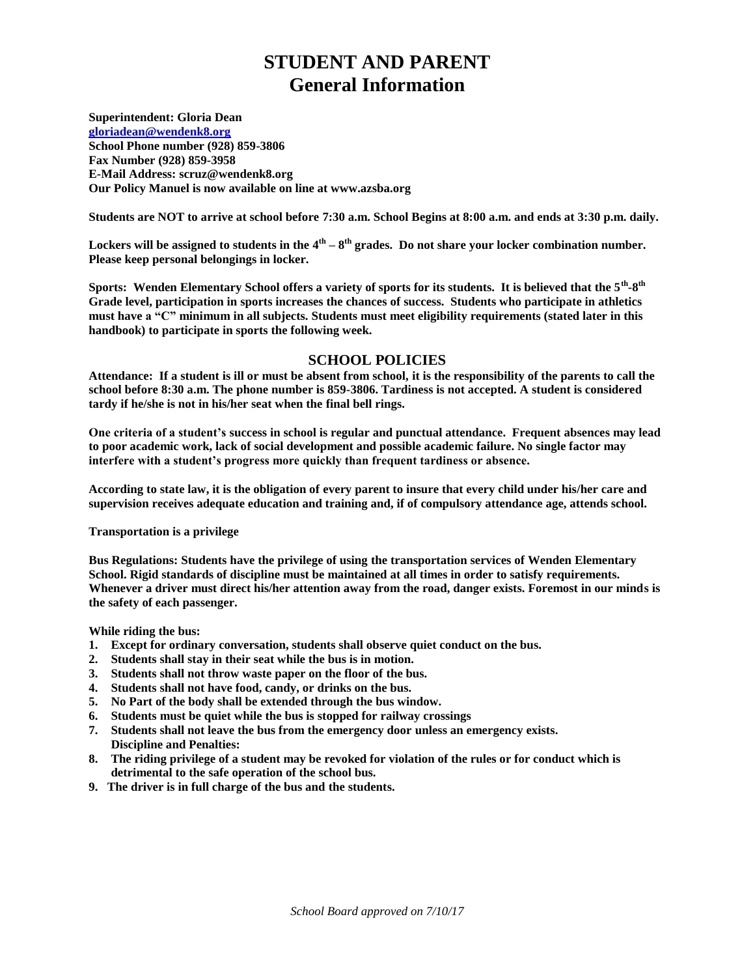# **STUDENT AND PARENT General Information**

**Superintendent: Gloria Dean**

**[gloriadean@wendenk8.org](mailto:gdean@wendenk8.org) School Phone number (928) 859-3806 Fax Number (928) 859-3958 E-Mail Address: scruz@wendenk8.org Our Policy Manuel is now available on line at www.azsba.org**

**Students are NOT to arrive at school before 7:30 a.m. School Begins at 8:00 a.m. and ends at 3:30 p.m. daily.**

Lockers will be assigned to students in the 4<sup>th</sup> – 8<sup>th</sup> grades. Do not share your locker combination number. **Please keep personal belongings in locker.**

**Sports: Wenden Elementary School offers a variety of sports for its students. It is believed that the 5th -8 th Grade level, participation in sports increases the chances of success. Students who participate in athletics must have a "C" minimum in all subjects. Students must meet eligibility requirements (stated later in this handbook) to participate in sports the following week.** 

## **SCHOOL POLICIES**

**Attendance: If a student is ill or must be absent from school, it is the responsibility of the parents to call the school before 8:30 a.m. The phone number is 859-3806. Tardiness is not accepted. A student is considered tardy if he/she is not in his/her seat when the final bell rings.**

**One criteria of a student's success in school is regular and punctual attendance. Frequent absences may lead to poor academic work, lack of social development and possible academic failure. No single factor may interfere with a student's progress more quickly than frequent tardiness or absence.**

**According to state law, it is the obligation of every parent to insure that every child under his/her care and supervision receives adequate education and training and, if of compulsory attendance age, attends school.**

**Transportation is a privilege**

**Bus Regulations: Students have the privilege of using the transportation services of Wenden Elementary School. Rigid standards of discipline must be maintained at all times in order to satisfy requirements. Whenever a driver must direct his/her attention away from the road, danger exists. Foremost in our minds is the safety of each passenger.**

**While riding the bus:**

- **1. Except for ordinary conversation, students shall observe quiet conduct on the bus.**
- **2. Students shall stay in their seat while the bus is in motion.**
- **3. Students shall not throw waste paper on the floor of the bus.**
- **4. Students shall not have food, candy, or drinks on the bus.**
- **5. No Part of the body shall be extended through the bus window.**
- **6. Students must be quiet while the bus is stopped for railway crossings**
- **7. Students shall not leave the bus from the emergency door unless an emergency exists. Discipline and Penalties:**
- **8. The riding privilege of a student may be revoked for violation of the rules or for conduct which is detrimental to the safe operation of the school bus.**
- **9. The driver is in full charge of the bus and the students.**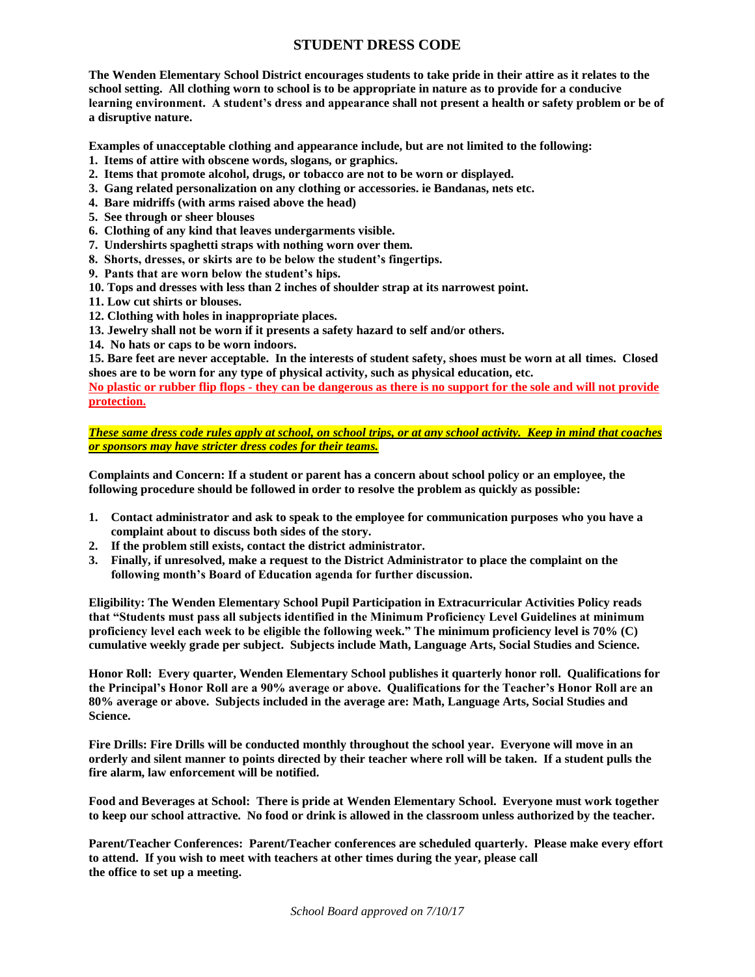## **STUDENT DRESS CODE**

**The Wenden Elementary School District encourages students to take pride in their attire as it relates to the school setting. All clothing worn to school is to be appropriate in nature as to provide for a conducive learning environment. A student's dress and appearance shall not present a health or safety problem or be of a disruptive nature.**

**Examples of unacceptable clothing and appearance include, but are not limited to the following:**

- **1. Items of attire with obscene words, slogans, or graphics.**
- **2. Items that promote alcohol, drugs, or tobacco are not to be worn or displayed.**
- **3. Gang related personalization on any clothing or accessories. ie Bandanas, nets etc.**
- **4. Bare midriffs (with arms raised above the head)**
- **5. See through or sheer blouses**
- **6. Clothing of any kind that leaves undergarments visible.**
- **7. Undershirts spaghetti straps with nothing worn over them.**
- **8. Shorts, dresses, or skirts are to be below the student's fingertips.**
- **9. Pants that are worn below the student's hips.**
- **10. Tops and dresses with less than 2 inches of shoulder strap at its narrowest point.**

**11. Low cut shirts or blouses.**

- **12. Clothing with holes in inappropriate places.**
- **13. Jewelry shall not be worn if it presents a safety hazard to self and/or others.**
- **14. No hats or caps to be worn indoors.**

**15. Bare feet are never acceptable. In the interests of student safety, shoes must be worn at all times. Closed shoes are to be worn for any type of physical activity, such as physical education, etc.**

**No plastic or rubber flip flops - they can be dangerous as there is no support for the sole and will not provide protection.** 

*These same dress code rules apply at school, on school trips, or at any school activity. Keep in mind that coaches or sponsors may have stricter dress codes for their teams.*

**Complaints and Concern: If a student or parent has a concern about school policy or an employee, the following procedure should be followed in order to resolve the problem as quickly as possible:**

- **1. Contact administrator and ask to speak to the employee for communication purposes who you have a complaint about to discuss both sides of the story.**
- **2. If the problem still exists, contact the district administrator.**
- **3. Finally, if unresolved, make a request to the District Administrator to place the complaint on the following month's Board of Education agenda for further discussion.**

**Eligibility: The Wenden Elementary School Pupil Participation in Extracurricular Activities Policy reads that "Students must pass all subjects identified in the Minimum Proficiency Level Guidelines at minimum proficiency level each week to be eligible the following week." The minimum proficiency level is 70% (C) cumulative weekly grade per subject. Subjects include Math, Language Arts, Social Studies and Science.**

**Honor Roll: Every quarter, Wenden Elementary School publishes it quarterly honor roll. Qualifications for the Principal's Honor Roll are a 90% average or above. Qualifications for the Teacher's Honor Roll are an 80% average or above. Subjects included in the average are: Math, Language Arts, Social Studies and Science.**

**Fire Drills: Fire Drills will be conducted monthly throughout the school year. Everyone will move in an orderly and silent manner to points directed by their teacher where roll will be taken. If a student pulls the fire alarm, law enforcement will be notified.**

**Food and Beverages at School: There is pride at Wenden Elementary School. Everyone must work together to keep our school attractive. No food or drink is allowed in the classroom unless authorized by the teacher.**

**Parent/Teacher Conferences: Parent/Teacher conferences are scheduled quarterly. Please make every effort to attend. If you wish to meet with teachers at other times during the year, please call the office to set up a meeting.**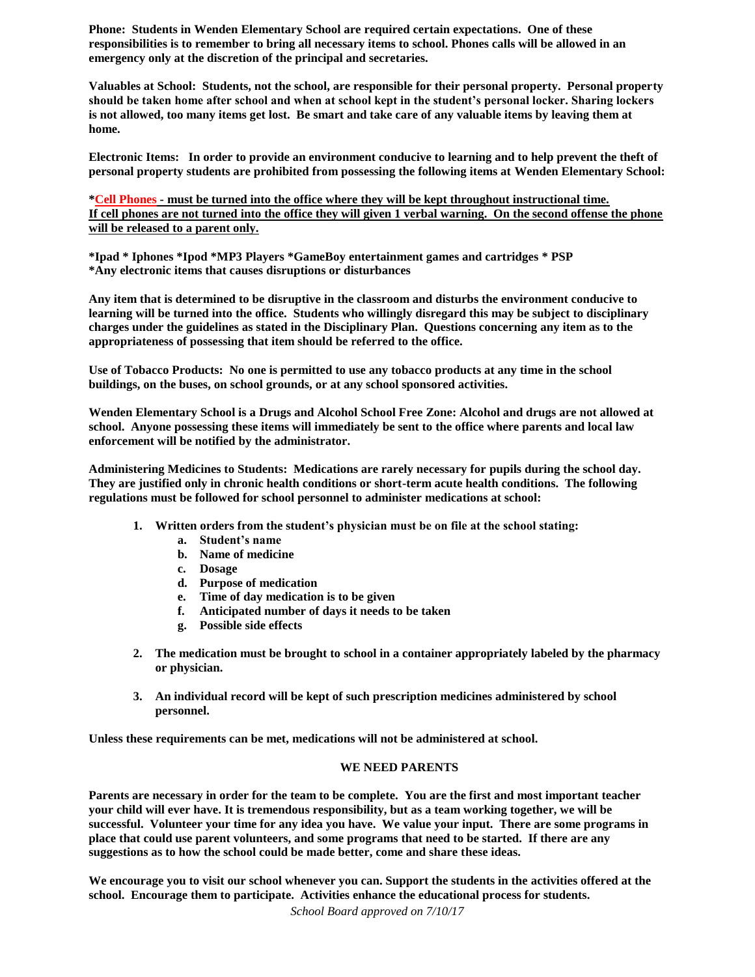**Phone: Students in Wenden Elementary School are required certain expectations. One of these responsibilities is to remember to bring all necessary items to school. Phones calls will be allowed in an emergency only at the discretion of the principal and secretaries.**

**Valuables at School: Students, not the school, are responsible for their personal property. Personal property should be taken home after school and when at school kept in the student's personal locker. Sharing lockers is not allowed, too many items get lost. Be smart and take care of any valuable items by leaving them at home.**

**Electronic Items: In order to provide an environment conducive to learning and to help prevent the theft of personal property students are prohibited from possessing the following items at Wenden Elementary School:**

**\*Cell Phones - must be turned into the office where they will be kept throughout instructional time. If cell phones are not turned into the office they will given 1 verbal warning. On the second offense the phone will be released to a parent only.**

**\*Ipad \* Iphones \*Ipod \*MP3 Players \*GameBoy entertainment games and cartridges \* PSP \*Any electronic items that causes disruptions or disturbances**

**Any item that is determined to be disruptive in the classroom and disturbs the environment conducive to learning will be turned into the office. Students who willingly disregard this may be subject to disciplinary charges under the guidelines as stated in the Disciplinary Plan. Questions concerning any item as to the appropriateness of possessing that item should be referred to the office.**

**Use of Tobacco Products: No one is permitted to use any tobacco products at any time in the school buildings, on the buses, on school grounds, or at any school sponsored activities.**

**Wenden Elementary School is a Drugs and Alcohol School Free Zone: Alcohol and drugs are not allowed at school. Anyone possessing these items will immediately be sent to the office where parents and local law enforcement will be notified by the administrator.**

**Administering Medicines to Students: Medications are rarely necessary for pupils during the school day. They are justified only in chronic health conditions or short-term acute health conditions. The following regulations must be followed for school personnel to administer medications at school:**

- **1. Written orders from the student's physician must be on file at the school stating:**
	- **a. Student's name**
	- **b. Name of medicine**
	- **c. Dosage**
	- **d. Purpose of medication**
	- **e. Time of day medication is to be given**
	- **f. Anticipated number of days it needs to be taken**
	- **g. Possible side effects**
- **2. The medication must be brought to school in a container appropriately labeled by the pharmacy or physician.**
- **3. An individual record will be kept of such prescription medicines administered by school personnel.**

**Unless these requirements can be met, medications will not be administered at school.**

### **WE NEED PARENTS**

**Parents are necessary in order for the team to be complete. You are the first and most important teacher your child will ever have. It is tremendous responsibility, but as a team working together, we will be successful. Volunteer your time for any idea you have. We value your input. There are some programs in place that could use parent volunteers, and some programs that need to be started. If there are any suggestions as to how the school could be made better, come and share these ideas.**

**We encourage you to visit our school whenever you can. Support the students in the activities offered at the school. Encourage them to participate. Activities enhance the educational process for students.**

*School Board approved on 7/10/17*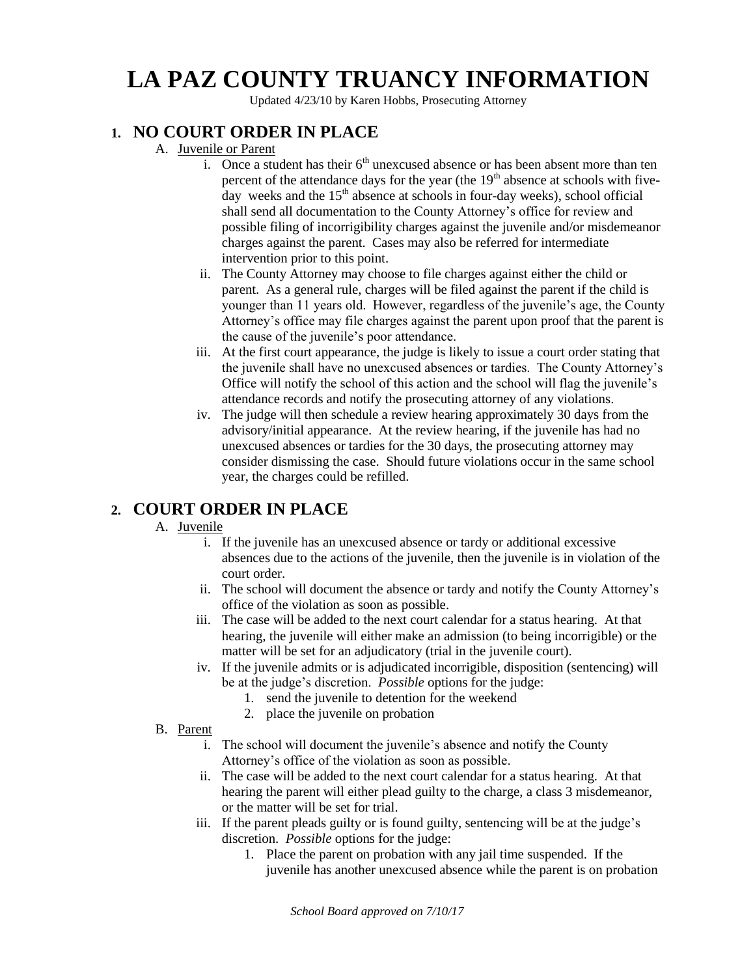# **LA PAZ COUNTY TRUANCY INFORMATION**

Updated 4/23/10 by Karen Hobbs, Prosecuting Attorney

# **1. NO COURT ORDER IN PLACE**

- A. Juvenile or Parent
	- i. Once a student has their  $6<sup>th</sup>$  unexcused absence or has been absent more than ten percent of the attendance days for the year (the  $19<sup>th</sup>$  absence at schools with fiveday weeks and the  $15<sup>th</sup>$  absence at schools in four-day weeks), school official shall send all documentation to the County Attorney's office for review and possible filing of incorrigibility charges against the juvenile and/or misdemeanor charges against the parent. Cases may also be referred for intermediate intervention prior to this point.
	- ii. The County Attorney may choose to file charges against either the child or parent. As a general rule, charges will be filed against the parent if the child is younger than 11 years old. However, regardless of the juvenile's age, the County Attorney's office may file charges against the parent upon proof that the parent is the cause of the juvenile's poor attendance.
	- iii. At the first court appearance, the judge is likely to issue a court order stating that the juvenile shall have no unexcused absences or tardies. The County Attorney's Office will notify the school of this action and the school will flag the juvenile's attendance records and notify the prosecuting attorney of any violations.
	- iv. The judge will then schedule a review hearing approximately 30 days from the advisory/initial appearance. At the review hearing, if the juvenile has had no unexcused absences or tardies for the 30 days, the prosecuting attorney may consider dismissing the case. Should future violations occur in the same school year, the charges could be refilled.

## **2. COURT ORDER IN PLACE**

## A. Juvenile

- i. If the juvenile has an unexcused absence or tardy or additional excessive absences due to the actions of the juvenile, then the juvenile is in violation of the court order.
- ii. The school will document the absence or tardy and notify the County Attorney's office of the violation as soon as possible.
- iii. The case will be added to the next court calendar for a status hearing. At that hearing, the juvenile will either make an admission (to being incorrigible) or the matter will be set for an adjudicatory (trial in the juvenile court).
- iv. If the juvenile admits or is adjudicated incorrigible, disposition (sentencing) will be at the judge's discretion. *Possible* options for the judge:
	- 1. send the juvenile to detention for the weekend
	- 2. place the juvenile on probation
- B. Parent
	- i. The school will document the juvenile's absence and notify the County Attorney's office of the violation as soon as possible.
	- ii. The case will be added to the next court calendar for a status hearing. At that hearing the parent will either plead guilty to the charge, a class 3 misdemeanor, or the matter will be set for trial.
	- iii. If the parent pleads guilty or is found guilty, sentencing will be at the judge's discretion. *Possible* options for the judge:
		- 1. Place the parent on probation with any jail time suspended. If the juvenile has another unexcused absence while the parent is on probation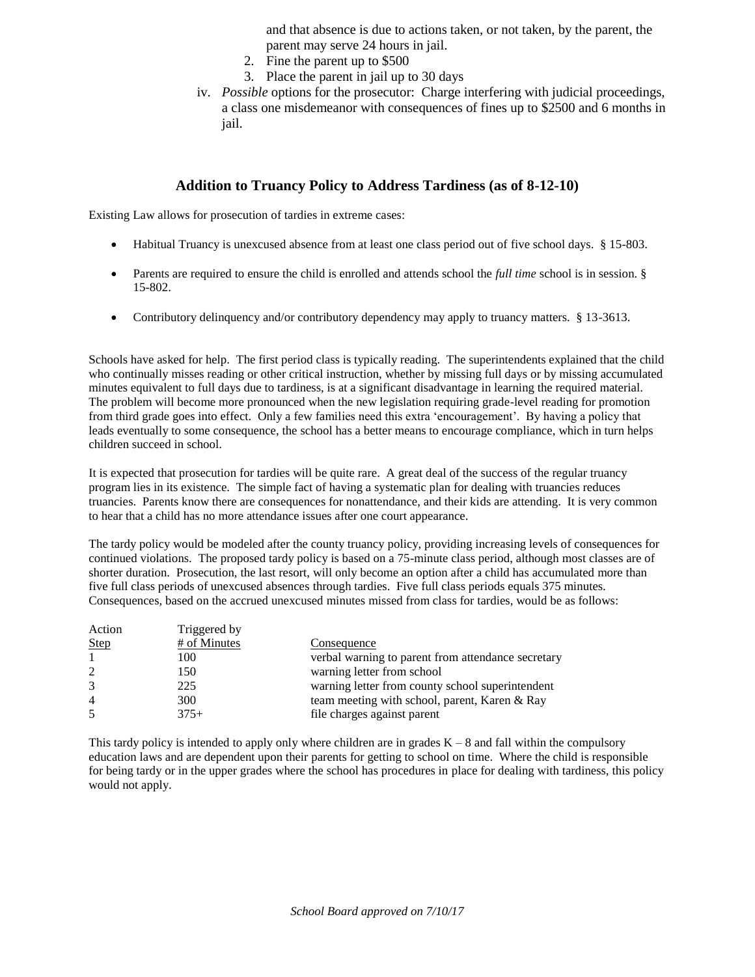and that absence is due to actions taken, or not taken, by the parent, the parent may serve 24 hours in jail.

- 2. Fine the parent up to \$500
- 3. Place the parent in jail up to 30 days
- iv. *Possible* options for the prosecutor: Charge interfering with judicial proceedings, a class one misdemeanor with consequences of fines up to \$2500 and 6 months in jail.

## **Addition to Truancy Policy to Address Tardiness (as of 8-12-10)**

Existing Law allows for prosecution of tardies in extreme cases:

- Habitual Truancy is unexcused absence from at least one class period out of five school days. § 15-803.
- Parents are required to ensure the child is enrolled and attends school the *full time* school is in session. § 15-802.
- Contributory delinquency and/or contributory dependency may apply to truancy matters. § 13-3613.

Schools have asked for help. The first period class is typically reading. The superintendents explained that the child who continually misses reading or other critical instruction, whether by missing full days or by missing accumulated minutes equivalent to full days due to tardiness, is at a significant disadvantage in learning the required material. The problem will become more pronounced when the new legislation requiring grade-level reading for promotion from third grade goes into effect. Only a few families need this extra 'encouragement'. By having a policy that leads eventually to some consequence, the school has a better means to encourage compliance, which in turn helps children succeed in school.

It is expected that prosecution for tardies will be quite rare. A great deal of the success of the regular truancy program lies in its existence. The simple fact of having a systematic plan for dealing with truancies reduces truancies. Parents know there are consequences for nonattendance, and their kids are attending. It is very common to hear that a child has no more attendance issues after one court appearance.

The tardy policy would be modeled after the county truancy policy, providing increasing levels of consequences for continued violations. The proposed tardy policy is based on a 75-minute class period, although most classes are of shorter duration. Prosecution, the last resort, will only become an option after a child has accumulated more than five full class periods of unexcused absences through tardies. Five full class periods equals 375 minutes. Consequences, based on the accrued unexcused minutes missed from class for tardies, would be as follows:

| Action         | Triggered by |                                                    |
|----------------|--------------|----------------------------------------------------|
| <b>Step</b>    | # of Minutes | Consequence                                        |
|                | 100          | verbal warning to parent from attendance secretary |
| 2              | 150          | warning letter from school                         |
| 3              | 225          | warning letter from county school superintendent   |
| $\overline{4}$ | 300          | team meeting with school, parent, Karen & Ray      |
| 5              | $375+$       | file charges against parent                        |

This tardy policy is intended to apply only where children are in grades  $K - 8$  and fall within the compulsory education laws and are dependent upon their parents for getting to school on time. Where the child is responsible for being tardy or in the upper grades where the school has procedures in place for dealing with tardiness, this policy would not apply.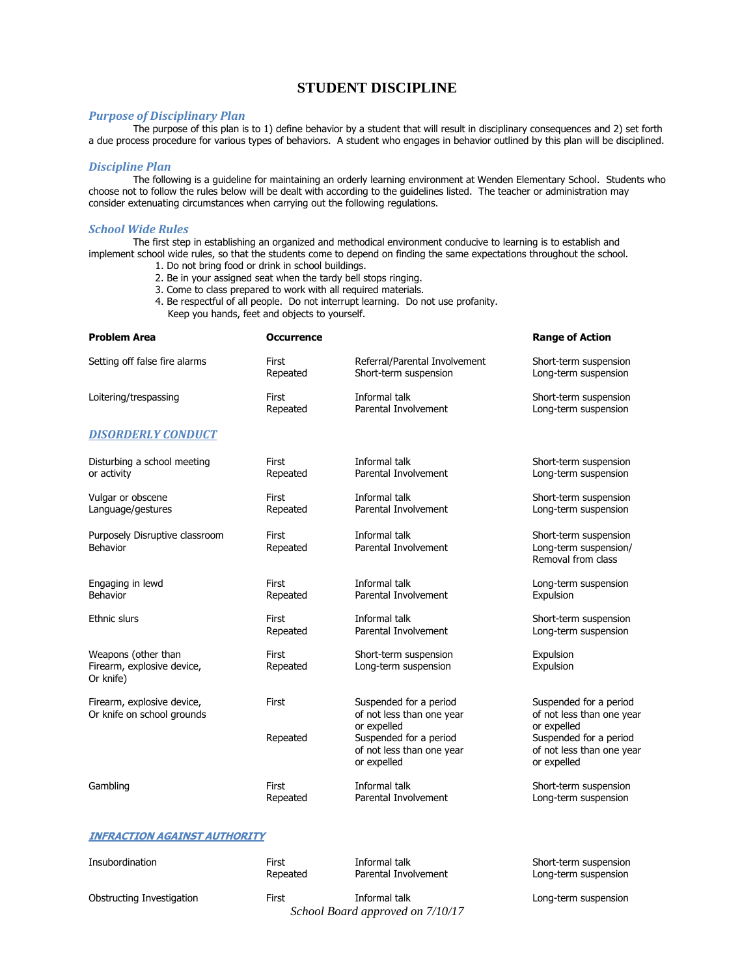## **STUDENT DISCIPLINE**

#### *Purpose of Disciplinary Plan*

The purpose of this plan is to 1) define behavior by a student that will result in disciplinary consequences and 2) set forth a due process procedure for various types of behaviors. A student who engages in behavior outlined by this plan will be disciplined.

#### *Discipline Plan*

The following is a guideline for maintaining an orderly learning environment at Wenden Elementary School. Students who choose not to follow the rules below will be dealt with according to the guidelines listed. The teacher or administration may consider extenuating circumstances when carrying out the following regulations.

#### *School Wide Rules*

The first step in establishing an organized and methodical environment conducive to learning is to establish and implement school wide rules, so that the students come to depend on finding the same expectations throughout the school.

- 1. Do not bring food or drink in school buildings.
- 2. Be in your assigned seat when the tardy bell stops ringing.
- 3. Come to class prepared to work with all required materials.
- 4. Be respectful of all people. Do not interrupt learning. Do not use profanity. Keep you hands, feet and objects to yourself.

| <b>Problem Area</b>                                            | <b>Occurrence</b> |                                                                    | <b>Range of Action</b>                                               |
|----------------------------------------------------------------|-------------------|--------------------------------------------------------------------|----------------------------------------------------------------------|
| Setting off false fire alarms                                  | First             | Referral/Parental Involvement                                      | Short-term suspension                                                |
|                                                                | Repeated          | Short-term suspension                                              | Long-term suspension                                                 |
| Loitering/trespassing                                          | First             | Informal talk                                                      | Short-term suspension                                                |
|                                                                | Repeated          | Parental Involvement                                               | Long-term suspension                                                 |
| <b>DISORDERLY CONDUCT</b>                                      |                   |                                                                    |                                                                      |
| Disturbing a school meeting                                    | First             | Informal talk                                                      | Short-term suspension                                                |
| or activity                                                    | Repeated          | Parental Involvement                                               | Long-term suspension                                                 |
| Vulgar or obscene                                              | First             | Informal talk                                                      | Short-term suspension                                                |
| Language/gestures                                              | Repeated          | Parental Involvement                                               | Long-term suspension                                                 |
| Purposely Disruptive classroom<br>Behavior                     | First<br>Repeated | Informal talk<br>Parental Involvement                              | Short-term suspension<br>Long-term suspension/<br>Removal from class |
| Engaging in lewd                                               | First             | Informal talk                                                      | Long-term suspension                                                 |
| Behavior                                                       | Repeated          | Parental Involvement                                               | Expulsion                                                            |
| <b>Ethnic slurs</b>                                            | First             | Informal talk                                                      | Short-term suspension                                                |
|                                                                | Repeated          | Parental Involvement                                               | Long-term suspension                                                 |
| Weapons (other than<br>Firearm, explosive device,<br>Or knife) | First<br>Repeated | Short-term suspension<br>Long-term suspension                      | Expulsion<br>Expulsion                                               |
| Firearm, explosive device,<br>Or knife on school grounds       | First             | Suspended for a period<br>of not less than one year<br>or expelled | Suspended for a period<br>of not less than one year<br>or expelled   |
|                                                                | Repeated          | Suspended for a period<br>of not less than one year<br>or expelled | Suspended for a period<br>of not less than one year<br>or expelled   |
| Gambling                                                       | First             | Informal talk                                                      | Short-term suspension                                                |
|                                                                | Repeated          | Parental Involvement                                               | Long-term suspension                                                 |

#### **INFRACTION AGAINST AUTHORITY**

| Insubordination           | First    | Informal talk                                     | Short-term suspension |
|---------------------------|----------|---------------------------------------------------|-----------------------|
|                           | Repeated | Parental Involvement                              | Long-term suspension  |
| Obstructing Investigation | First    | Informal talk<br>School Board approved on 7/10/17 | Long-term suspension  |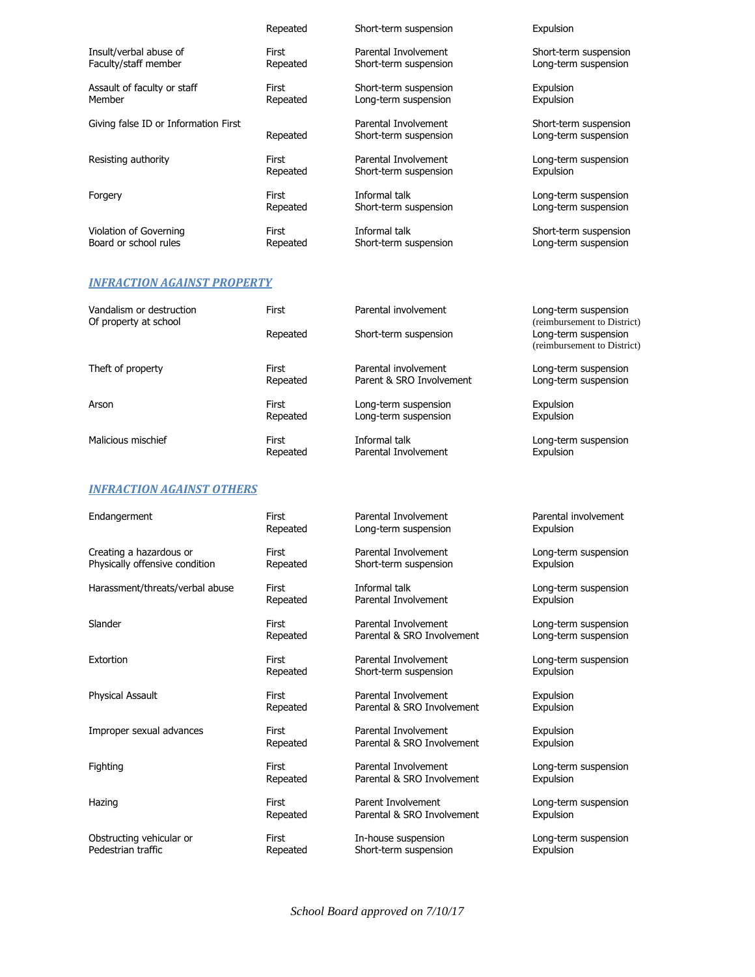|                                      | Repeated | Short-term suspension                         | Expulsion                                     |
|--------------------------------------|----------|-----------------------------------------------|-----------------------------------------------|
| Insult/verbal abuse of               | First    | Parental Involvement                          | Short-term suspension                         |
| Faculty/staff member                 | Repeated | Short-term suspension                         | Long-term suspension                          |
| Assault of faculty or staff          | First    | Short-term suspension                         | Expulsion                                     |
| Member                               | Repeated | Long-term suspension                          | Expulsion                                     |
| Giving false ID or Information First | Repeated | Parental Involvement<br>Short-term suspension | Short-term suspension<br>Long-term suspension |
| Resisting authority                  | First    | Parental Involvement                          | Long-term suspension                          |
|                                      | Repeated | Short-term suspension                         | Expulsion                                     |
| Forgery                              | First    | Informal talk                                 | Long-term suspension                          |
|                                      | Repeated | Short-term suspension                         | Long-term suspension                          |
| Violation of Governing               | First    | Informal talk                                 | Short-term suspension                         |
| Board or school rules                | Repeated | Short-term suspension                         | Long-term suspension                          |

## *INFRACTION AGAINST PROPERTY*

| Vandalism or destruction<br>Of property at school | First    | Parental involvement     | Long-term suspension<br>(reimbursement to District) |
|---------------------------------------------------|----------|--------------------------|-----------------------------------------------------|
|                                                   | Repeated | Short-term suspension    | Long-term suspension<br>(reimbursement to District) |
| Theft of property                                 | First    | Parental involvement     | Long-term suspension                                |
|                                                   | Repeated | Parent & SRO Involvement | Long-term suspension                                |
| Arson                                             | First    | Long-term suspension     | Expulsion                                           |
|                                                   | Repeated | Long-term suspension     | Expulsion                                           |
| Malicious mischief                                | First    | Informal talk            | Long-term suspension                                |
|                                                   | Repeated | Parental Involvement     | Expulsion                                           |

## *INFRACTION AGAINST OTHERS*

| Endangerment                    | First    | Parental Involvement       | Parental involvement |
|---------------------------------|----------|----------------------------|----------------------|
|                                 | Repeated | Long-term suspension       | Expulsion            |
| Creating a hazardous or         | First    | Parental Involvement       | Long-term suspension |
| Physically offensive condition  | Repeated | Short-term suspension      | Expulsion            |
| Harassment/threats/verbal abuse | First    | Informal talk              | Long-term suspension |
|                                 | Repeated | Parental Involvement       | Expulsion            |
| Slander                         | First    | Parental Involvement       | Long-term suspension |
|                                 | Repeated | Parental & SRO Involvement | Long-term suspension |
| Extortion                       | First    | Parental Involvement       | Long-term suspension |
|                                 | Repeated | Short-term suspension      | Expulsion            |
| <b>Physical Assault</b>         | First    | Parental Involvement       | Expulsion            |
|                                 | Repeated | Parental & SRO Involvement | Expulsion            |
| Improper sexual advances        | First    | Parental Involvement       | Expulsion            |
|                                 | Repeated | Parental & SRO Involvement | Expulsion            |
| Fighting                        | First    | Parental Involvement       | Long-term suspension |
|                                 | Repeated | Parental & SRO Involvement | Expulsion            |
| Hazing                          | First    | Parent Involvement         | Long-term suspension |
|                                 | Repeated | Parental & SRO Involvement | Expulsion            |
| Obstructing vehicular or        | First    | In-house suspension        | Long-term suspension |
| Pedestrian traffic              | Repeated | Short-term suspension      | Expulsion            |